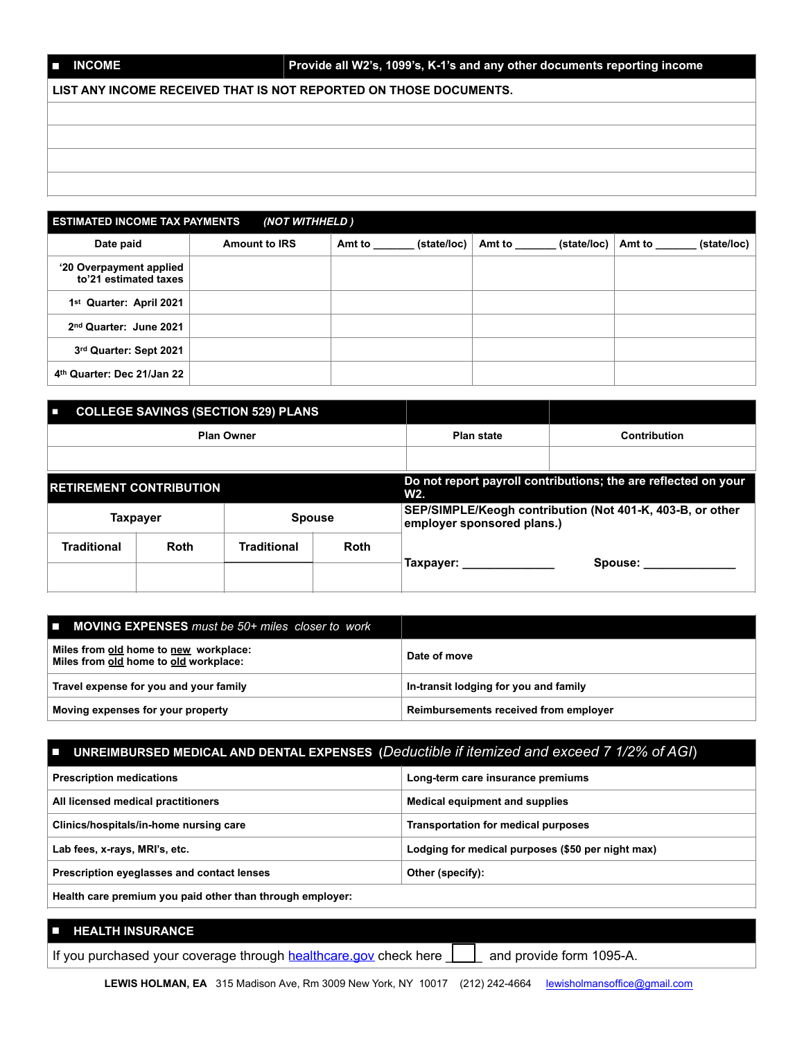## ■ **INCOME Provide all W2's, 1099's, K-1's and any other documents reporting income**

**LIST ANY INCOME RECEIVED THAT IS NOT REPORTED ON THOSE DOCUMENTS.**

| <b>ESTIMATED INCOME TAX PAYMENTS</b><br>(NOT WITHHELD) |                      |                       |                       |                       |  |
|--------------------------------------------------------|----------------------|-----------------------|-----------------------|-----------------------|--|
| Date paid                                              | <b>Amount to IRS</b> | Amt to<br>(state/loc) | Amt to<br>(state/loc) | Amt to<br>(state/loc) |  |
| '20 Overpayment applied<br>to'21 estimated taxes       |                      |                       |                       |                       |  |
| 1 <sup>st</sup> Quarter: April 2021                    |                      |                       |                       |                       |  |
| 2nd Quarter: June 2021                                 |                      |                       |                       |                       |  |
| 3rd Quarter: Sept 2021                                 |                      |                       |                       |                       |  |
| 4th Quarter: Dec 21/Jan 22                             |                      |                       |                       |                       |  |

| п                              |                 | <b>COLLEGE SAVINGS (SECTION 529) PLANS</b> |              |                            |                                                                |
|--------------------------------|-----------------|--------------------------------------------|--------------|----------------------------|----------------------------------------------------------------|
| <b>Plan Owner</b>              |                 | <b>Plan state</b>                          | Contribution |                            |                                                                |
|                                |                 |                                            |              |                            |                                                                |
| <b>RETIREMENT CONTRIBUTION</b> |                 |                                            |              | W2.                        | Do not report payroll contributions; the are reflected on your |
|                                | <b>Taxpayer</b> | <b>Spouse</b>                              |              | employer sponsored plans.) | SEP/SIMPLE/Keogh contribution (Not 401-K, 403-B, or other      |
| <b>Traditional</b>             | <b>Roth</b>     | <b>Traditional</b>                         | <b>Roth</b>  |                            |                                                                |
|                                |                 |                                            |              | Taxpayer:                  | Spouse:                                                        |

| $\blacksquare$ MOVING EXPENSES must be 50+ miles closer to work                |                                       |
|--------------------------------------------------------------------------------|---------------------------------------|
| Miles from old home to new workplace:<br>Miles from old home to old workplace: | Date of move                          |
| Travel expense for you and your family                                         | In-transit lodging for you and family |
| Moving expenses for your property                                              | Reimbursements received from employer |

# ■ **UNREIMBURSED MEDICAL AND DENTAL EXPENSES (***Deductible if itemized and exceed 7 1/2% of AGI*)

| <b>Prescription medications</b>                           | Long-term care insurance premiums                 |  |
|-----------------------------------------------------------|---------------------------------------------------|--|
| All licensed medical practitioners                        | Medical equipment and supplies                    |  |
| Clinics/hospitals/in-home nursing care                    | <b>Transportation for medical purposes</b>        |  |
| Lab fees, x-rays, MRI's, etc.                             | Lodging for medical purposes (\$50 per night max) |  |
| Prescription eyeglasses and contact lenses                | Other (specify):                                  |  |
| Health care premium you paid other than through employer: |                                                   |  |

## ■ **HEALTH INSURANCE** If you purchased your coverage through [healthcare.gov](http://healthcare.gov) check here  $\Box$  and provide form 1095-A.

LEWIS HOLMAN, EA 315 Madison Ave, Rm 3009 New York, NY 10017 (212) 242-4664 lewisholmansoffice@gmail.com